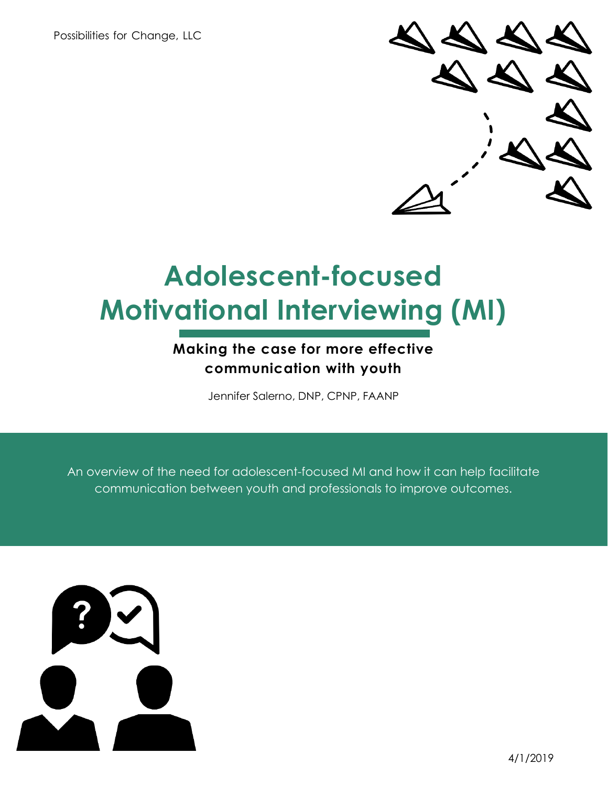Possibilities for Change, LLC



# **Adolescent-focused Motivational Interviewing (MI)**

### **Making the case for more effective communication with youth**

Jennifer Salerno, DNP, CPNP, FAANP

An overview of the need for adolescent-focused MI and how it can help facilitate communication between youth and professionals to improve outcomes.

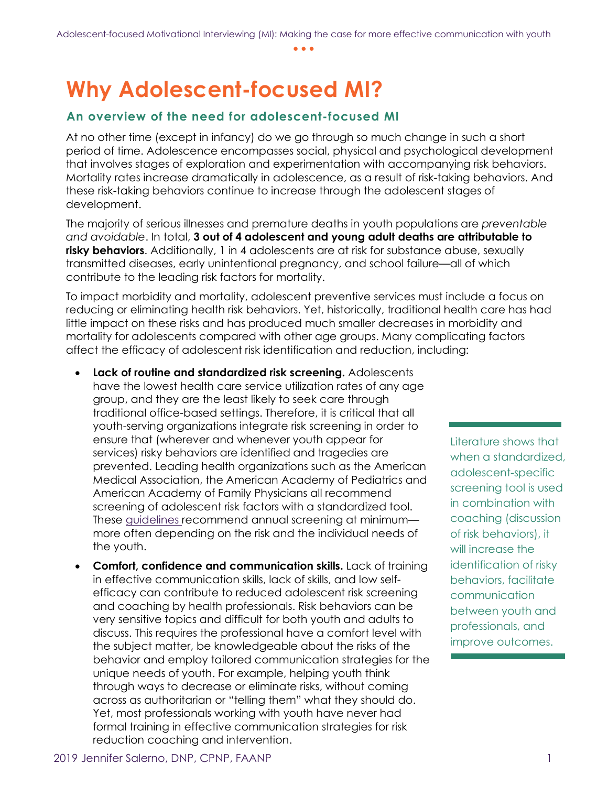### **Why Adolescent-focused MI?**

#### **An overview of the need for adolescent-focused MI**

At no other time (except in infancy) do we go through so much change in such a short period of time. Adolescence encompasses social, physical and psychological development that involves stages of exploration and experimentation with accompanying risk behaviors. Mortality rates increase dramatically in adolescence, as a result of risk-taking behaviors. And these risk-taking behaviors continue to increase through the adolescent stages of development.

The majority of serious illnesses and premature deaths in youth populations are *preventable and avoidable*. In total, **3 out of 4 adolescent and young adult deaths are attributable to risky behaviors**. Additionally, 1 in 4 adolescents are at risk for substance abuse, sexually transmitted diseases, early unintentional pregnancy, and school failure—all of which contribute to the leading risk factors for mortality.

To impact morbidity and mortality, adolescent preventive services must include a focus on reducing or eliminating health risk behaviors. Yet, historically, traditional health care has had little impact on these risks and has produced much smaller decreases in morbidity and mortality for adolescents compared with other age groups. Many complicating factors affect the efficacy of adolescent risk identification and reduction, including:

- **Lack of routine and standardized risk screening.** Adolescents have the lowest health care service utilization rates of any age group, and they are the least likely to seek care through traditional office-based settings. Therefore, it is critical that all youth-serving organizations integrate risk screening in order to ensure that (wherever and whenever youth appear for services) risky behaviors are identified and tragedies are prevented. Leading health organizations such as the American Medical Association, the American Academy of Pediatrics and American Academy of Family Physicians all recommend screening of adolescent risk factors with a standardized tool. These guidelines recommend annual screening at minimum more often depending on the risk and the individual needs of the youth.
- **Comfort, confidence and communication skills.** Lack of training in effective communication skills, lack of skills, and low selfefficacy can contribute to reduced adolescent risk screening and coaching by health professionals. Risk behaviors can be very sensitive topics and difficult for both youth and adults to discuss. This requires the professional have a comfort level with the subject matter, be knowledgeable about the risks of the behavior and employ tailored communication strategies for the unique needs of youth. For example, helping youth think through ways to decrease or eliminate risks, without coming across as authoritarian or "telling them" what they should do. Yet, most professionals working with youth have never had formal training in effective communication strategies for risk reduction coaching and intervention.

Literature shows that when a standardized, adolescent-specific screening tool is used in combination with coaching (discussion of risk behaviors), it will increase the identification of risky behaviors, facilitate communication between youth and professionals, and improve outcomes.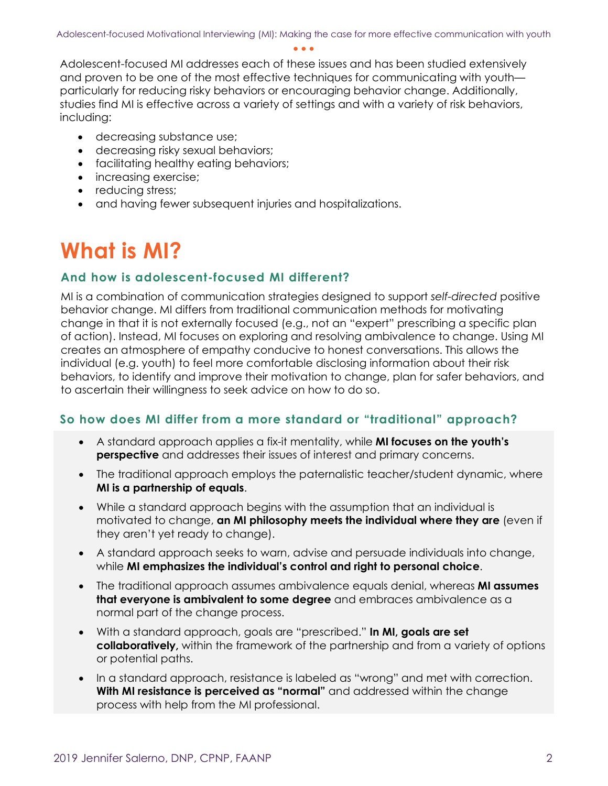Adolescent-focused MI addresses each of these issues and has been studied extensively and proven to be one of the most effective techniques for communicating with youth particularly for reducing risky behaviors or encouraging behavior change. Additionally, studies find MI is effective across a variety of settings and with a variety of risk behaviors, including:

- decreasing substance use;
- decreasing risky sexual behaviors;
- facilitating healthy eating behaviors;
- increasing exercise;
- reducing stress;
- and having fewer subsequent injuries and hospitalizations.

### **What is MI?**

#### **And how is adolescent-focused MI different?**

MI is a combination of communication strategies designed to support *self-directed* positive behavior change. MI differs from traditional communication methods for motivating change in that it is not externally focused (e.g., not an "expert" prescribing a specific plan of action). Instead, MI focuses on exploring and resolving ambivalence to change. Using MI creates an atmosphere of empathy conducive to honest conversations. This allows the individual (e.g. youth) to feel more comfortable disclosing information about their risk behaviors, to identify and improve their motivation to change, plan for safer behaviors, and to ascertain their willingness to seek advice on how to do so.

#### **So how does MI differ from a more standard or "traditional" approach?**

- A standard approach applies a fix-it mentality, while **MI focuses on the youth's perspective** and addresses their issues of interest and primary concerns.
- The traditional approach employs the paternalistic teacher/student dynamic, where **MI is a partnership of equals**.
- While a standard approach begins with the assumption that an individual is motivated to change, **an MI philosophy meets the individual where they are** (even if they aren't yet ready to change).
- A standard approach seeks to warn, advise and persuade individuals into change, while **MI emphasizes the individual's control and right to personal choice**.
- The traditional approach assumes ambivalence equals denial, whereas **MI assumes that everyone is ambivalent to some degree** and embraces ambivalence as a normal part of the change process.
- With a standard approach, goals are "prescribed." **In MI, goals are set collaboratively,** within the framework of the partnership and from a variety of options or potential paths.
- In a standard approach, resistance is labeled as "wrong" and met with correction. **With MI resistance is perceived as "normal"** and addressed within the change process with help from the MI professional.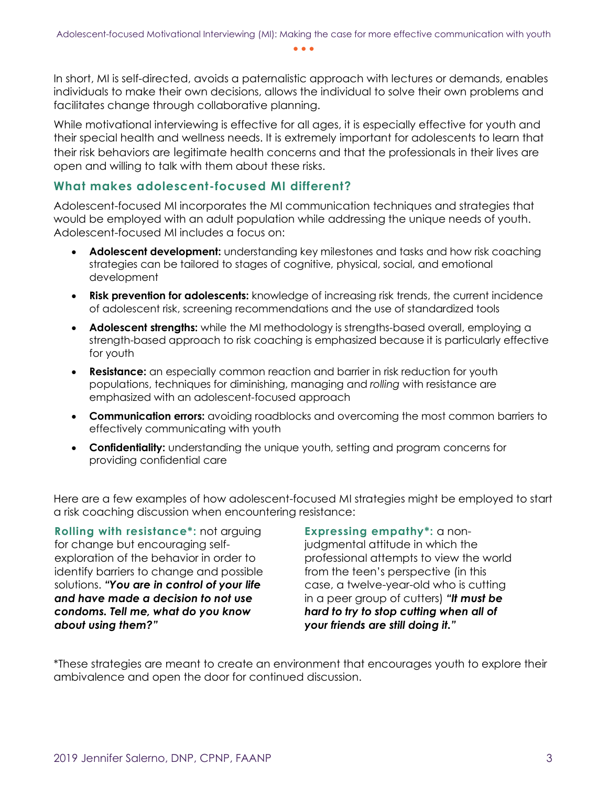In short, MI is self-directed, avoids a paternalistic approach with lectures or demands, enables individuals to make their own decisions, allows the individual to solve their own problems and facilitates change through collaborative planning.

While motivational interviewing is effective for all ages, it is especially effective for youth and their special health and wellness needs. It is extremely important for adolescents to learn that their risk behaviors are legitimate health concerns and that the professionals in their lives are open and willing to talk with them about these risks.

#### **What makes adolescent-focused MI different?**

Adolescent-focused MI incorporates the MI communication techniques and strategies that would be employed with an adult population while addressing the unique needs of youth. Adolescent-focused MI includes a focus on:

- **Adolescent development:** understanding key milestones and tasks and how risk coaching strategies can be tailored to stages of cognitive, physical, social, and emotional development
- **Risk prevention for adolescents:** knowledge of increasing risk trends, the current incidence of adolescent risk, screening recommendations and the use of standardized tools
- **Adolescent strengths:** while the MI methodology is strengths-based overall, employing a strength-based approach to risk coaching is emphasized because it is particularly effective for youth
- **Resistance:** an especially common reaction and barrier in risk reduction for youth populations, techniques for diminishing, managing and *rolling* with resistance are emphasized with an adolescent-focused approach
- **Communication errors:** avoiding roadblocks and overcoming the most common barriers to effectively communicating with youth
- **Confidentiality:** understanding the unique youth, setting and program concerns for providing confidential care

Here are a few examples of how adolescent-focused MI strategies might be employed to start a risk coaching discussion when encountering resistance:

**Rolling with resistance\*:** not arguing for change but encouraging selfexploration of the behavior in order to identify barriers to change and possible solutions. *"You are in control of your life and have made a decision to not use condoms. Tell me, what do you know about using them?"* 

**Expressing empathy\*:** a nonjudgmental attitude in which the professional attempts to view the world from the teen's perspective (in this

case, a twelve-year-old who is cutting in a peer group of cutters) *"It must be hard to try to stop cutting when all of your friends are still doing it."*

\*These strategies are meant to create an environment that encourages youth to explore their ambivalence and open the door for continued discussion.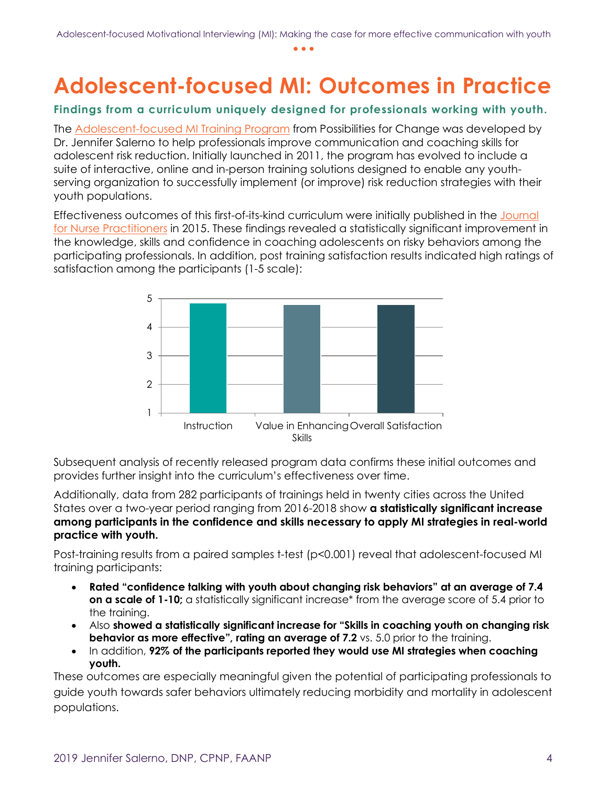## **Adolescent-focused MI: Outcomes in Practice**

#### **Findings from a curriculum uniquely designed for professionals working with youth.**

The **Adolescent-focused MI Training Program** from Possibilities for Change was developed by Dr. Jennifer Salerno to help professionals improve communication and coaching skills for adolescent risk reduction. Initially launched in 2011, the program has evolved to include a suite of interactive, online and in-person training solutions designed to enable any youthserving organization to successfully implement (or improve) risk reduction strategies with their youth populations.

Effectiveness outcomes of this first-of-its-kind curriculum were initially published in the [Journal](http://www.npjournal.org/article/S1555-4155(15)00335-9/abstract)  [for Nurse Practitioners](http://www.npjournal.org/article/S1555-4155(15)00335-9/abstract) in 2015. These findings revealed a statistically significant improvement in the knowledge, skills and confidence in coaching adolescents on risky behaviors among the participating professionals. In addition, post training satisfaction results indicated high ratings of satisfaction among the participants (1-5 scale):



Subsequent analysis of recently released program data confirms these initial outcomes and provides further insight into the curriculum's effectiveness over time.

Additionally, data from 282 participants of trainings held in twenty cities across the United States over a two-year period ranging from 2016-2018 show **a statistically significant increase among participants in the confidence and skills necessary to apply MI strategies in real-world practice with youth.** 

Post-training results from a paired samples t-test (p<0.001) reveal that adolescent-focused MI training participants:

- **Rated "confidence talking with youth about changing risk behaviors" at an average of 7.4 on a scale of 1-10;** a statistically significant increase\* from the average score of 5.4 prior to the training.
- Also **showed a statistically significant increase for "Skills in coaching youth on changing risk behavior as more effective", rating an average of 7.2** vs. 5.0 prior to the training.
- In addition, **92% of the participants reported they would use MI strategies when coaching youth.**

These outcomes are especially meaningful given the potential of participating professionals to guide youth towards safer behaviors ultimately reducing morbidity and mortality in adolescent populations.